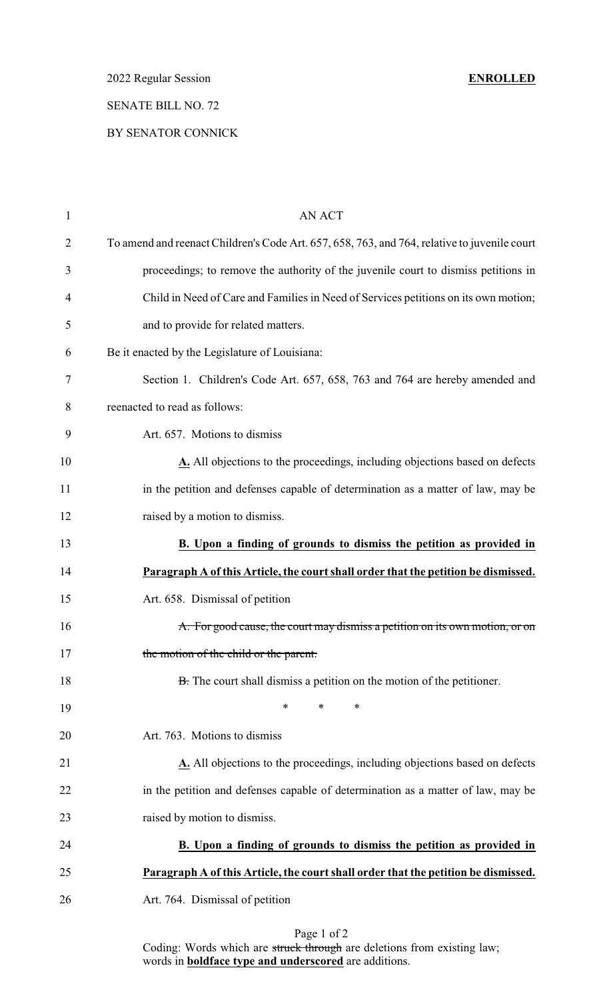2022 Regular Session **ENROLLED**

## SENATE BILL NO. 72

#### BY SENATOR CONNICK

| $\mathbf{1}$   | <b>AN ACT</b>                                                                                |
|----------------|----------------------------------------------------------------------------------------------|
| $\overline{2}$ | To amend and reenact Children's Code Art. 657, 658, 763, and 764, relative to juvenile court |
| 3              | proceedings; to remove the authority of the juvenile court to dismiss petitions in           |
| $\overline{4}$ | Child in Need of Care and Families in Need of Services petitions on its own motion;          |
| 5              | and to provide for related matters.                                                          |
| 6              | Be it enacted by the Legislature of Louisiana:                                               |
| 7              | Section 1. Children's Code Art. 657, 658, 763 and 764 are hereby amended and                 |
| 8              | reenacted to read as follows:                                                                |
| 9              | Art. 657. Motions to dismiss                                                                 |
| 10             | A. All objections to the proceedings, including objections based on defects                  |
| 11             | in the petition and defenses capable of determination as a matter of law, may be             |
| 12             | raised by a motion to dismiss.                                                               |
| 13             | B. Upon a finding of grounds to dismiss the petition as provided in                          |
| 14             | Paragraph A of this Article, the court shall order that the petition be dismissed.           |
| 15             | Art. 658. Dismissal of petition                                                              |
| 16             | A. For good cause, the court may dismiss a petition on its own motion, or on                 |
| 17             | the motion of the child or the parent.                                                       |
| 18             | B. The court shall dismiss a petition on the motion of the petitioner.                       |
| 19             | $\ast$<br>$\ast$<br>∗                                                                        |
| 20             | Art. 763. Motions to dismiss                                                                 |
| 21             | A. All objections to the proceedings, including objections based on defects                  |
| 22             | in the petition and defenses capable of determination as a matter of law, may be             |
| 23             | raised by motion to dismiss.                                                                 |
| 24             | B. Upon a finding of grounds to dismiss the petition as provided in                          |
| 25             | Paragraph A of this Article, the court shall order that the petition be dismissed.           |
| 26             | Art. 764. Dismissal of petition                                                              |
|                | $D_{0}$ $\alpha$ $\alpha$ $\beta$ $\gamma$                                                   |

Page 1 of 2 Coding: Words which are struck through are deletions from existing law; words in **boldface type and underscored** are additions.